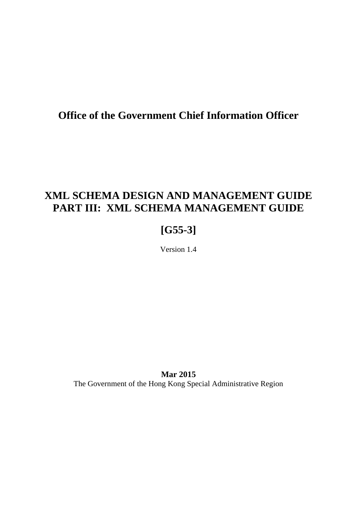### **Office of the Government Chief Information Officer**

### **XML SCHEMA DESIGN AND MANAGEMENT GUIDE PART III: XML SCHEMA MANAGEMENT GUIDE**

## **[G55-3]**

Version 1.4

**Mar 2015** The Government of the Hong Kong Special Administrative Region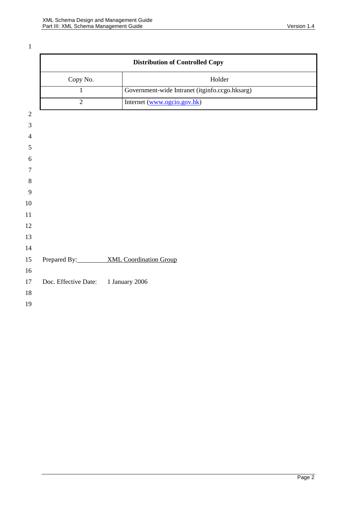|                                     | <b>Distribution of Controlled Copy</b>         |
|-------------------------------------|------------------------------------------------|
| Copy No.                            | Holder                                         |
| $\mathbf{1}$                        | Government-wide Intranet (itginfo.ccgo.hksarg) |
| $\overline{2}$                      | Internet (www.ogcio.gov.hk)                    |
|                                     |                                                |
|                                     |                                                |
|                                     |                                                |
|                                     |                                                |
|                                     |                                                |
|                                     |                                                |
|                                     |                                                |
|                                     |                                                |
|                                     |                                                |
|                                     |                                                |
|                                     |                                                |
|                                     |                                                |
|                                     | Prepared By: XML Coordination Group            |
|                                     |                                                |
| Doc. Effective Date: 1 January 2006 |                                                |
|                                     |                                                |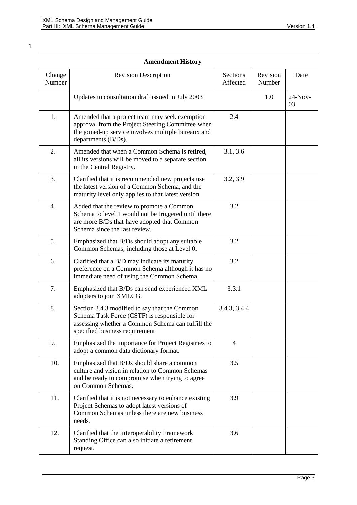|                  | <b>Amendment History</b>                                                                                                                                                            |                      |                    |                 |
|------------------|-------------------------------------------------------------------------------------------------------------------------------------------------------------------------------------|----------------------|--------------------|-----------------|
| Change<br>Number | <b>Revision Description</b>                                                                                                                                                         | Sections<br>Affected | Revision<br>Number | Date            |
|                  | Updates to consultation draft issued in July 2003                                                                                                                                   |                      | 1.0                | $24-Nov-$<br>03 |
| 1.               | Amended that a project team may seek exemption<br>approval from the Project Steering Committee when<br>the joined-up service involves multiple bureaux and<br>departments (B/Ds).   | 2.4                  |                    |                 |
| 2.               | Amended that when a Common Schema is retired,<br>all its versions will be moved to a separate section<br>in the Central Registry.                                                   | 3.1, 3.6             |                    |                 |
| 3.               | Clarified that it is recommended new projects use<br>the latest version of a Common Schema, and the<br>maturity level only applies to that latest version.                          | 3.2, 3.9             |                    |                 |
| 4.               | Added that the review to promote a Common<br>Schema to level 1 would not be triggered until there<br>are more B/Ds that have adopted that Common<br>Schema since the last review.   | 3.2                  |                    |                 |
| 5.               | Emphasized that B/Ds should adopt any suitable<br>Common Schemas, including those at Level 0.                                                                                       | 3.2                  |                    |                 |
| 6.               | Clarified that a B/D may indicate its maturity<br>preference on a Common Schema although it has no<br>immediate need of using the Common Schema.                                    | 3.2                  |                    |                 |
| 7.               | Emphasized that B/Ds can send experienced XML<br>adopters to join XMLCG.                                                                                                            | 3.3.1                |                    |                 |
| 8.               | Section 3.4.3 modified to say that the Common<br>Schema Task Force (CSTF) is responsible for<br>assessing whether a Common Schema can fulfill the<br>specified business requirement | 3.4.3, 3.4.4         |                    |                 |
| 9.               | Emphasized the importance for Project Registries to<br>adopt a common data dictionary format.                                                                                       | 4                    |                    |                 |
| 10.              | Emphasized that B/Ds should share a common<br>culture and vision in relation to Common Schemas<br>and be ready to compromise when trying to agree<br>on Common Schemas.             | 3.5                  |                    |                 |
| 11.              | Clarified that it is not necessary to enhance existing<br>Project Schemas to adopt latest versions of<br>Common Schemas unless there are new business<br>needs.                     | 3.9                  |                    |                 |
| 12.              | Clarified that the Interoperability Framework<br>Standing Office can also initiate a retirement<br>request.                                                                         | 3.6                  |                    |                 |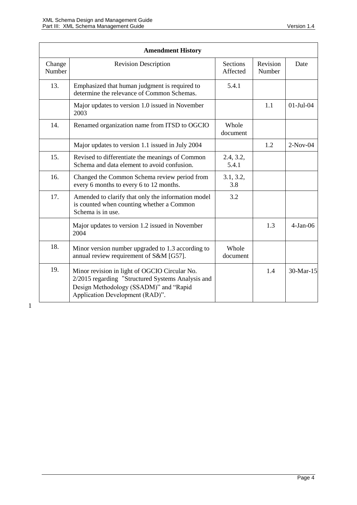| <b>Amendment History</b> |                                                                                                                                                                                 |                             |                    |             |
|--------------------------|---------------------------------------------------------------------------------------------------------------------------------------------------------------------------------|-----------------------------|--------------------|-------------|
| Change<br>Number         | <b>Revision Description</b>                                                                                                                                                     | <b>Sections</b><br>Affected | Revision<br>Number | Date        |
| 13.                      | Emphasized that human judgment is required to<br>determine the relevance of Common Schemas.                                                                                     | 5.4.1                       |                    |             |
|                          | Major updates to version 1.0 issued in November<br>2003                                                                                                                         |                             | 1.1                | $01-Jul-04$ |
| 14.                      | Renamed organization name from ITSD to OGCIO                                                                                                                                    | Whole<br>document           |                    |             |
|                          | Major updates to version 1.1 issued in July 2004                                                                                                                                |                             | 1.2                | $2-Nov-04$  |
| 15.                      | Revised to differentiate the meanings of Common<br>Schema and data element to avoid confusion.                                                                                  | 2.4, 3.2,<br>5.4.1          |                    |             |
| 16.                      | Changed the Common Schema review period from<br>every 6 months to every 6 to 12 months.                                                                                         | 3.1, 3.2,<br>3.8            |                    |             |
| 17.                      | Amended to clarify that only the information model<br>is counted when counting whether a Common<br>Schema is in use.                                                            | 3.2                         |                    |             |
|                          | Major updates to version 1.2 issued in November<br>2004                                                                                                                         |                             | 1.3                | $4-Jan-06$  |
| 18.                      | Minor version number upgraded to 1.3 according to<br>annual review requirement of S&M [G57].                                                                                    | Whole<br>document           |                    |             |
| 19.                      | Minor revision in light of OGCIO Circular No.<br>2/2015 regarding "Structured Systems Analysis and<br>Design Methodology (SSADM)" and "Rapid<br>Application Development (RAD)". |                             | 1.4                | 30-Mar-15   |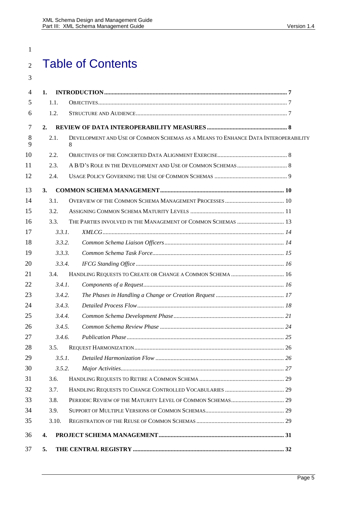# Table of Contents

| 4              | 1.               |                                                                                        |  |
|----------------|------------------|----------------------------------------------------------------------------------------|--|
| 5              | 1.1.             |                                                                                        |  |
| 6              | 1.2.             |                                                                                        |  |
| $\overline{7}$ | 2.               |                                                                                        |  |
| 8<br>9         | 2.1.             | DEVELOPMENT AND USE OF COMMON SCHEMAS AS A MEANS TO ENHANCE DATA INTEROPERABILITY<br>8 |  |
| 10             | 2.2.             |                                                                                        |  |
| 11             | 2.3.             |                                                                                        |  |
| 12             | 2.4.             |                                                                                        |  |
| 13             | 3.               |                                                                                        |  |
| 14             | 3.1.             |                                                                                        |  |
| 15             | 3.2.             |                                                                                        |  |
| 16             | 3.3.             | THE PARTIES INVOLVED IN THE MANAGEMENT OF COMMON SCHEMAS  13                           |  |
| 17             | 3.3.1.           |                                                                                        |  |
| 18             | 3.3.2.           |                                                                                        |  |
| 19             | 3.3.3.           |                                                                                        |  |
| 20             | 3.3.4.           |                                                                                        |  |
| 21             | 3.4.             | HANDLING REQUESTS TO CREATE OR CHANGE A COMMON SCHEMA  16                              |  |
| 22             | 3.4.1.           |                                                                                        |  |
| 23             | 3.4.2.           |                                                                                        |  |
| 24             | 3.4.3.           |                                                                                        |  |
| 25             | 3.4.4.           |                                                                                        |  |
| 26             | 3.4.5.           |                                                                                        |  |
| 27             | 3.4.6.           |                                                                                        |  |
| 28             | 3.5.             |                                                                                        |  |
| 29             | 3.5.1.           |                                                                                        |  |
| 30             | 3.5.2.           |                                                                                        |  |
| 31             | 3.6.             |                                                                                        |  |
| 32             | 3.7.             |                                                                                        |  |
| 33             | 3.8.             |                                                                                        |  |
| 34             | 3.9.             |                                                                                        |  |
| 35             | 3.10.            |                                                                                        |  |
| 36             | $\overline{4}$ . |                                                                                        |  |
| 37             | 5.               |                                                                                        |  |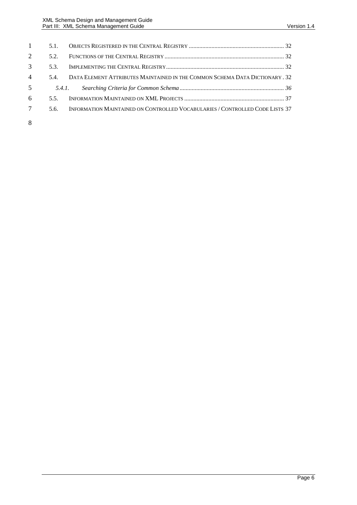| $\mathbf{1}$    | 5.1.   |                                                                                  |  |
|-----------------|--------|----------------------------------------------------------------------------------|--|
| 2               | 52     |                                                                                  |  |
| $\mathbf{3}$    | 5.3.   |                                                                                  |  |
| $\overline{4}$  |        | 5.4. DATA ELEMENT ATTRIBUTES MAINTAINED IN THE COMMON SCHEMA DATA DICTIONARY, 32 |  |
| $5\overline{)}$ | 5.4.1. |                                                                                  |  |
| 6               | 55     |                                                                                  |  |
| $7\overline{ }$ | 5.6.   | INFORMATION MAINTAINED ON CONTROLLED VOCABULARIES / CONTROLLED CODE LISTS 37     |  |
| 8               |        |                                                                                  |  |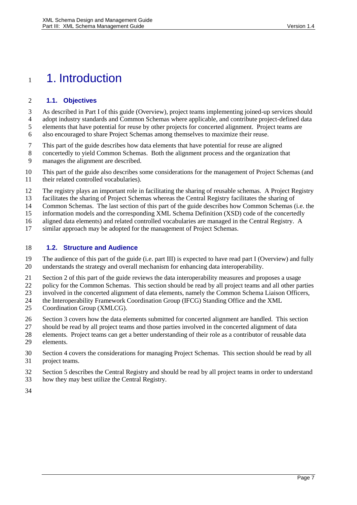## <span id="page-6-0"></span>1. Introduction

#### <span id="page-6-1"></span>**1.1. Objectives**

 As described in Part I of this guide (Overview), project teams implementing joined-up services should adopt industry standards and Common Schemas where applicable, and contribute project-defined data elements that have potential for reuse by other projects for concerted alignment. Project teams are

also encouraged to share Project Schemas among themselves to maximize their reuse.

- This part of the guide describes how data elements that have potential for reuse are aligned
- concertedly to yield Common Schemas. Both the alignment process and the organization that manages the alignment are described.
- This part of the guide also describes some considerations for the management of Project Schemas (and their related controlled vocabularies).
- The registry plays an important role in facilitating the sharing of reusable schemas. A Project Registry
- facilitates the sharing of Project Schemas whereas the Central Registry facilitates the sharing of
- Common Schemas. The last section of this part of the guide describes how Common Schemas (i.e. the
- information models and the corresponding XML Schema Definition (XSD) code of the concertedly
- aligned data elements) and related controlled vocabularies are managed in the Central Registry. A
- similar approach may be adopted for the management of Project Schemas.

#### <span id="page-6-2"></span>**1.2. Structure and Audience**

 The audience of this part of the guide (i.e. part III) is expected to have read part I (Overview) and fully understands the strategy and overall mechanism for enhancing data interoperability.

- Section 2 of this part of the guide reviews the data interoperability measures and proposes a usage
- 22 policy for the Common Schemas. This section should be read by all project teams and all other parties<br>23 involved in the concerted alignment of data elements, namely the Common Schema Liaison Officers.
- involved in the concerted alignment of data elements, namely the Common Schema Liaison Officers,
- the Interoperability Framework Coordination Group (IFCG) Standing Office and the XML
- Coordination Group (XMLCG).
- Section 3 covers how the data elements submitted for concerted alignment are handled. This section
- should be read by all project teams and those parties involved in the concerted alignment of data
- elements. Project teams can get a better understanding of their role as a contributor of reusable data elements.
- Section 4 covers the considerations for managing Project Schemas. This section should be read by all project teams.
- Section 5 describes the Central Registry and should be read by all project teams in order to understand
- how they may best utilize the Central Registry.
-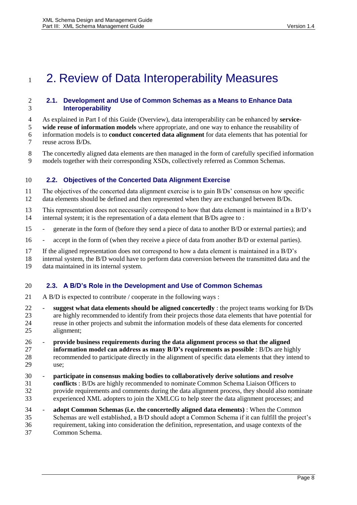## <span id="page-7-0"></span>1 2. Review of Data Interoperability Measures

#### <span id="page-7-1"></span> **2.1. Development and Use of Common Schemas as a Means to Enhance Data Interoperability**

As explained in Part I of this Guide (Overview), data interoperability can be enhanced by **service-**

**wide reuse of information models** where appropriate, and one way to enhance the reusability of

- information models is to **conduct concerted data alignment** for data elements that has potential for reuse across B/Ds.
- The concertedly aligned data elements are then managed in the form of carefully specified information models together with their corresponding XSDs, collectively referred as Common Schemas.

#### <span id="page-7-2"></span>**2.2. Objectives of the Concerted Data Alignment Exercise**

- The objectives of the concerted data alignment exercise is to gain B/Ds' consensus on how specific data elements should be defined and then represented when they are exchanged between B/Ds.
- This representation does not necessarily correspond to how that data element is maintained in a B/D's internal system; it is the representation of a data element that B/Ds agree to :
- generate in the form of (before they send a piece of data to another B/D or external parties); and
- accept in the form of (when they receive a piece of data from another B/D or external parties).
- If the aligned representation does not correspond to how a data element is maintained in a B/D's
- internal system, the B/D would have to perform data conversion between the transmitted data and the
- data maintained in its internal system.

#### <span id="page-7-3"></span>**2.3. A B/D's Role in the Development and Use of Common Schemas**

- A B/D is expected to contribute / cooperate in the following ways :
- **suggest what data elements should be aligned concertedly** : the project teams working for B/Ds are highly recommended to identify from their projects those data elements that have potential for reuse in other projects and submit the information models of these data elements for concerted alignment;
- **provide business requirements during the data alignment process so that the aligned information model can address as many B/D's requirements as possible** : B/Ds are highly recommended to participate directly in the alignment of specific data elements that they intend to use;
- **participate in consensus making bodies to collaboratively derive solutions and resolve conflicts** : B/Ds are highly recommended to nominate Common Schema Liaison Officers to provide requirements and comments during the data alignment process, they should also nominate experienced XML adopters to join the XMLCG to help steer the data alignment processes; and
- **adopt Common Schemas (i.e. the concertedly aligned data elements)** : When the Common Schemas are well established, a B/D should adopt a Common Schema if it can fulfill the project's requirement, taking into consideration the definition, representation, and usage contexts of the Common Schema.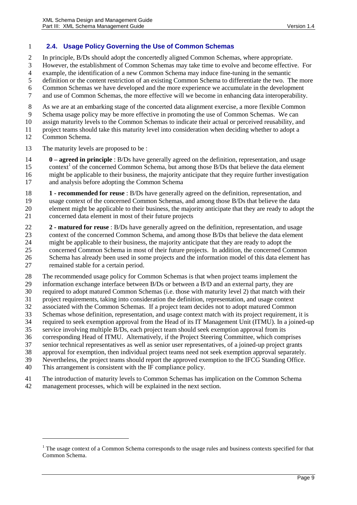#### <span id="page-8-0"></span>**2.4. Usage Policy Governing the Use of Common Schemas**

In principle, B/Ds should adopt the concertedly aligned Common Schemas, where appropriate.

However, the establishment of Common Schemas may take time to evolve and become effective. For

example, the identification of a new Common Schema may induce fine-tuning in the semantic

definition or the content restriction of an existing Common Schema to differentiate the two. The more

Common Schemas we have developed and the more experience we accumulate in the development

and use of Common Schemas, the more effective will we become in enhancing data interoperability.

As we are at an embarking stage of the concerted data alignment exercise, a more flexible Common

Schema usage policy may be more effective in promoting the use of Common Schemas. We can

assign maturity levels to the Common Schemas to indicate their actual or perceived reusability, and

project teams should take this maturity level into consideration when deciding whether to adopt a

Common Schema.

 $\overline{a}$ 

The maturity levels are proposed to be :

 **0 – agreed in principle** : B/Ds have generally agreed on the definition, representation, and usage 15 context<sup>1</sup> of the concerned Common Schema, but among those B/Ds that believe the data element might be applicable to their business, the majority anticipate that they require further investigation

and analysis before adopting the Common Schema

 **1 - recommended for reuse** : B/Ds have generally agreed on the definition, representation, and usage context of the concerned Common Schemas, and among those B/Ds that believe the data element might be applicable to their business, the majority anticipate that they are ready to adopt the concerned data element in most of their future projects

**2 - matured for reuse** : B/Ds have generally agreed on the definition, representation, and usage

 context of the concerned Common Schema, and among those B/Ds that believe the data element might be applicable to their business, the majority anticipate that they are ready to adopt the

concerned Common Schema in most of their future projects. In addition, the concerned Common

Schema has already been used in some projects and the information model of this data element has

remained stable for a certain period.

 The recommended usage policy for Common Schemas is that when project teams implement the information exchange interface between B/Ds or between a B/D and an external party, they are required to adopt matured Common Schemas (i.e. those with maturity level 2) that match with their

project requirements, taking into consideration the definition, representation, and usage context

 associated with the Common Schemas. If a project team decides not to adopt matured Common Schemas whose definition, representation, and usage context match with its project requirement, it is

required to seek exemption approval from the Head of its IT Management Unit (ITMU). In a joined-up

service involving multiple B/Ds, each project team should seek exemption approval from its

corresponding Head of ITMU. Alternatively, if the Project Steering Committee, which comprises

senior technical representatives as well as senior user representatives, of a joined-up project grants

approval for exemption, then individual project teams need not seek exemption approval separately.

Nevertheless, the project teams should report the approved exemption to the IFCG Standing Office.

This arrangement is consistent with the IF compliance policy.

The introduction of maturity levels to Common Schemas has implication on the Common Schema

management processes, which will be explained in the next section.

<sup>&</sup>lt;sup>1</sup> The usage context of a Common Schema corresponds to the usage rules and business contexts specified for that Common Schema.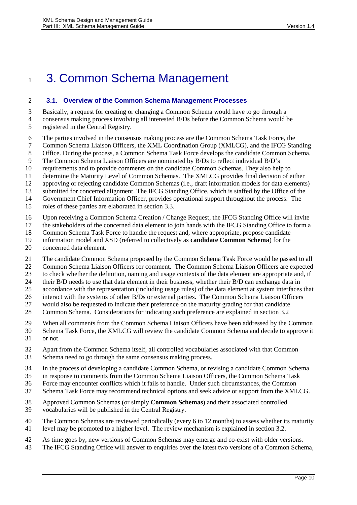## <span id="page-9-1"></span>3. Common Schema Management

#### <span id="page-9-0"></span>**3.1. Overview of the Common Schema Management Processes**

 Basically, a request for creating or changing a Common Schema would have to go through a consensus making process involving all interested B/Ds before the Common Schema would be registered in the Central Registry.

- The parties involved in the consensus making process are the Common Schema Task Force, the
- Common Schema Liaison Officers, the XML Coordination Group (XMLCG), and the IFCG Standing
- Office. During the process, a Common Schema Task Force develops the candidate Common Schema.
- The Common Schema Liaison Officers are nominated by B/Ds to reflect individual B/D's
- requirements and to provide comments on the candidate Common Schemas. They also help to
- determine the Maturity Level of Common Schemas. The XMLCG provides final decision of either
- approving or rejecting candidate Common Schemas (i.e., draft information models for data elements)
- submitted for concerted alignment. The IFCG Standing Office, which is staffed by the Office of the
- Government Chief Information Officer, provides operational support throughout the process. The
- roles of these parties are elaborated in section [3.3.](#page-12-0)
- Upon receiving a Common Schema Creation / Change Request, the IFCG Standing Office will invite
- the stakeholders of the concerned data element to join hands with the IFCG Standing Office to form a
- Common Schema Task Force to handle the request and, where appropriate, propose candidate
- information model and XSD (referred to collectively as **candidate Common Schema**) for the
- concerned data element.
- The candidate Common Schema proposed by the Common Schema Task Force would be passed to all
- Common Schema Liaison Officers for comment. The Common Schema Liaison Officers are expected
- to check whether the definition, naming and usage contexts of the data element are appropriate and, if
- 24 their B/D needs to use that data element in their business, whether their B/D can exchange data in
- accordance with the representation (including usage rules) of the data element at system interfaces that
- interact with the systems of other B/Ds or external parties. The Common Schema Liaison Officers would also be requested to indicate their preference on the maturity grading for that candidate
- Common Schema. Considerations for indicating such preference are explained in sectio[n 3.2](#page-10-0)
- When all comments from the Common Schema Liaison Officers have been addressed by the Common
- Schema Task Force, the XMLCG will review the candidate Common Schema and decide to approve it
- or not.
- Apart from the Common Schema itself, all controlled vocabularies associated with that Common Schema need to go through the same consensus making process.
- In the process of developing a candidate Common Schema, or revising a candidate Common Schema
- in response to comments from the Common Schema Liaison Officers, the Common Schema Task
- Force may encounter conflicts which it fails to handle. Under such circumstances, the Common
- Schema Task Force may recommend technical options and seek advice or support from the XMLCG.
- Approved Common Schemas (or simply **Common Schemas**) and their associated controlled vocabularies will be published in the Central Registry.
- The Common Schemas are reviewed periodically (every 6 to 12 months) to assess whether its maturity level may be promoted to a higher level. The review mechanism is explained in section [3.2.](#page-10-0)
- As time goes by, new versions of Common Schemas may emerge and co-exist with older versions.
- The IFCG Standing Office will answer to enquiries over the latest two versions of a Common Schema,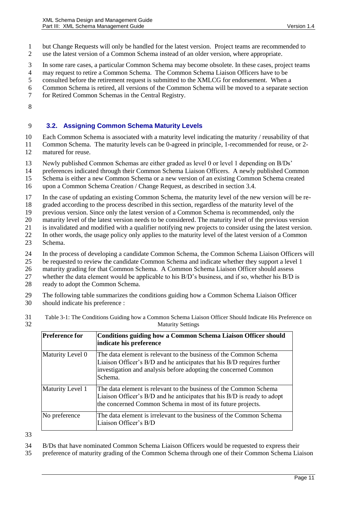but Change Requests will only be handled for the latest version. Project teams are recommended to use the latest version of a Common Schema instead of an older version, where appropriate.

In some rare cases, a particular Common Schema may become obsolete. In these cases, project teams

may request to retire a Common Schema. The Common Schema Liaison Officers have to be

consulted before the retirement request is submitted to the XMLCG for endorsement. When a

- Common Schema is retired, all versions of the Common Schema will be moved to a separate section
- for Retired Common Schemas in the Central Registry.
- 

#### <span id="page-10-0"></span>**3.2. Assigning Common Schema Maturity Levels**

Each Common Schema is associated with a maturity level indicating the maturity / reusability of that

- Common Schema. The maturity levels can be 0-agreed in principle, 1-recommended for reuse, or 2-
- matured for reuse.
- Newly published Common Schemas are either graded as level 0 or level 1 depending on B/Ds'

preferences indicated through their Common Schema Liaison Officers. A newly published Common

Schema is either a new Common Schema or a new version of an existing Common Schema created

- upon a Common Schema Creation / Change Request, as described in section [3.4.](#page-15-1)
- In the case of updating an existing Common Schema, the maturity level of the new version will be re-
- graded according to the process described in this section, regardless of the maturity level of the
- previous version. Since only the latest version of a Common Schema is recommended, only the
- maturity level of the latest version needs to be considered. The maturity level of the previous version
- is invalidated and modified with a qualifier notifying new projects to consider using the latest version.
- In other words, the usage policy only applies to the maturity level of the latest version of a Common
- Schema.
- In the process of developing a candidate Common Schema, the Common Schema Liaison Officers will
- be requested to review the candidate Common Schema and indicate whether they support a level 1
- maturity grading for that Common Schema. A Common Schema Liaison Officer should assess
- whether the data element would be applicable to his B/D's business, and if so, whether his B/D is ready to adopt the Common Schema.
- 
- The following table summarizes the conditions guiding how a Common Schema Liaison Officer should indicate his preference :
- Table 3-1: The Conditions Guiding how a Common Schema Liaison Officer Should Indicate His Preference on Maturity Settings

| <b>Preference for</b> | Conditions guiding how a Common Schema Liaison Officer should<br>indicate his preference                                                                                                                                  |
|-----------------------|---------------------------------------------------------------------------------------------------------------------------------------------------------------------------------------------------------------------------|
| Maturity Level 0      | The data element is relevant to the business of the Common Schema<br>Liaison Officer's B/D and he anticipates that his B/D requires further<br>investigation and analysis before adopting the concerned Common<br>Schema. |
| Maturity Level 1      | The data element is relevant to the business of the Common Schema<br>Liaison Officer's B/D and he anticipates that his B/D is ready to adopt<br>the concerned Common Schema in most of its future projects.               |
| No preference         | The data element is irrelevant to the business of the Common Schema<br>Liaison Officer's B/D                                                                                                                              |

- B/Ds that have nominated Common Schema Liaison Officers would be requested to express their
- preference of maturity grading of the Common Schema through one of their Common Schema Liaison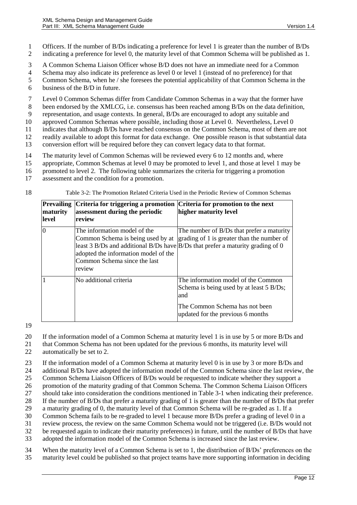1 Officers. If the number of B/Ds indicating a preference for level 1 is greater than the number of B/Ds 2 indicating a preference for level 0, the maturity level of that Common Schema will be published as 1.

- 3 A Common Schema Liaison Officer whose B/D does not have an immediate need for a Common
- 4 Schema may also indicate its preference as level 0 or level 1 (instead of no preference) for that
- 5 Common Schema, when he / she foresees the potential applicability of that Common Schema in the
- 6 business of the B/D in future.

7 Level 0 Common Schemas differ from Candidate Common Schemas in a way that the former have

8 been endorsed by the XMLCG, i.e. consensus has been reached among B/Ds on the data definition,

9 representation, and usage contexts. In general, B/Ds are encouraged to adopt any suitable and

10 approved Common Schemas where possible, including those at Level 0. Nevertheless, Level 0 11 indicates that although B/Ds have reached consensus on the Common Schema, most of them are not

12 readily available to adopt this format for data exchange. One possible reason is that substantial data

- 13 conversion effort will be required before they can convert legacy data to that format.
- 14 The maturity level of Common Schemas will be reviewed every 6 to 12 months and, where
- 15 appropriate, Common Schemas at level 0 may be promoted to level 1, and those at level 1 may be
- 16 promoted to level 2. The following table summarizes the criteria for triggering a promotion
- 17 assessment and the condition for a promotion.
- 

18 Table 3-2: The Promotion Related Criteria Used in the Periodic Review of Common Schemas

| <b>Prevailing</b><br>maturity<br>level | Criteria for triggering a promotion<br>assessment during the periodic<br>review                                                                     | Criteria for promotion to the next<br>higher maturity level                                                                                                               |
|----------------------------------------|-----------------------------------------------------------------------------------------------------------------------------------------------------|---------------------------------------------------------------------------------------------------------------------------------------------------------------------------|
| 0                                      | The information model of the<br>Common Schema is being used by at<br>adopted the information model of the<br>Common Schema since the last<br>review | The number of B/Ds that prefer a maturity<br>grading of 1 is greater than the number of<br>least 3 B/Ds and additional B/Ds have B/Ds that prefer a maturity grading of 0 |
|                                        | No additional criteria                                                                                                                              | The information model of the Common<br>Schema is being used by at least 5 B/Ds;<br>and                                                                                    |
|                                        |                                                                                                                                                     | The Common Schema has not been<br>updated for the previous 6 months                                                                                                       |

19

20 If the information model of a Common Schema at maturity level 1 is in use by 5 or more B/Ds and

21 that Common Schema has not been updated for the previous 6 months, its maturity level will 22 automatically be set to 2.

23 If the information model of a Common Schema at maturity level 0 is in use by 3 or more B/Ds and

24 additional B/Ds have adopted the information model of the Common Schema since the last review, the 25 Common Schema Liaison Officers of B/Ds would be requested to indicate whether they support a

26 promotion of the maturity grading of that Common Schema. The Common Schema Liaison Officers

27 should take into consideration the conditions mentioned in Table 3-1 when indicating their preference.

28 If the number of B/Ds that prefer a maturity grading of 1 is greater than the number of B/Ds that prefer

29 a maturity grading of 0, the maturity level of that Common Schema will be re-graded as 1. If a

30 Common Schema fails to be re-graded to level 1 because more B/Ds prefer a grading of level 0 in a

31 review process, the review on the same Common Schema would not be triggered (i.e. B/Ds would not

32 be requested again to indicate their maturity preferences) in future, until the number of B/Ds that have

33 adopted the information model of the Common Schema is increased since the last review.

34 When the maturity level of a Common Schema is set to 1, the distribution of B/Ds' preferences on the 35 maturity level could be published so that project teams have more supporting information in deciding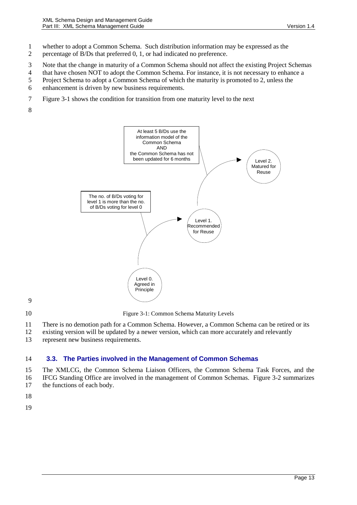- 1 whether to adopt a Common Schema. Such distribution information may be expressed as the
- 2 percentage of B/Ds that preferred 0, 1, or had indicated no preference.
- 3 Note that the change in maturity of a Common Schema should not affect the existing Project Schemas
- 4 that have chosen NOT to adopt the Common Schema. For instance, it is not necessary to enhance a
- 5 Project Schema to adopt a Common Schema of which the maturity is promoted to 2, unless the
- 6 enhancement is driven by new business requirements.
- 7 [Figure 3-1](#page-12-1) shows the condition for transition from one maturity level to the next
- 8



- 9
- <span id="page-12-1"></span>

10 Figure 3-1: Common Schema Maturity Levels

- 11 There is no demotion path for a Common Schema. However, a Common Schema can be retired or its
- 12 existing version will be updated by a newer version, which can more accurately and relevantly
- 13 represent new business requirements.

#### <span id="page-12-0"></span>14 **3.3. The Parties involved in the Management of Common Schemas**

15 The XMLCG, the Common Schema Liaison Officers, the Common Schema Task Forces, and the 16 IFCG Standing Office are involved in the management of Common Schemas. Figure 3-2 summarizes 17 the functions of each body.

- 18
- 19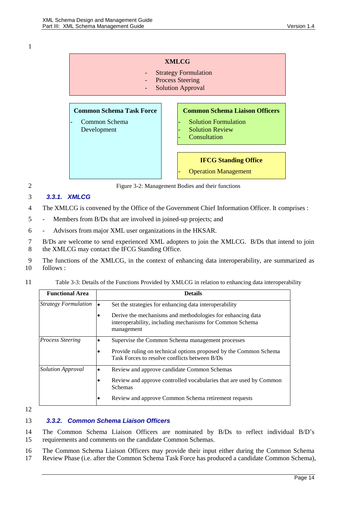

2 Figure 3-2: Management Bodies and their functions

#### <span id="page-13-0"></span>3 *3.3.1. XMLCG*

- 4 The XMLCG is convened by the Office of the Government Chief Information Officer. It comprises :
- 5 Members from B/Ds that are involved in joined-up projects; and
- 6 Advisors from major XML user organizations in the HKSAR.
- 7 B/Ds are welcome to send experienced XML adopters to join the XMLCG. B/Ds that intend to join 8 the XMLCG may contact the IFCG Standing Office.
- 9 The functions of the XMLCG, in the context of enhancing data interoperability, are summarized as 10 follows :
- 11 Table 3-3: Details of the Functions Provided by XMLCG in relation to enhancing data interoperability

| <b>Functional Area</b>      | <b>Details</b>                                                                                                                       |
|-----------------------------|--------------------------------------------------------------------------------------------------------------------------------------|
| <b>Strategy Formulation</b> | Set the strategies for enhancing data interoperability<br>I۰                                                                         |
|                             | Derive the mechanisms and methodologies for enhancing data<br>interoperability, including mechanisms for Common Schema<br>management |
| <b>Process Steering</b>     | Supervise the Common Schema management processes                                                                                     |
|                             | Provide ruling on technical options proposed by the Common Schema<br>Task Forces to resolve conflicts between B/Ds                   |
| <b>Solution Approval</b>    | Review and approve candidate Common Schemas<br>٠                                                                                     |
|                             | Review and approve controlled vocabularies that are used by Common<br><b>Schemas</b>                                                 |
|                             | Review and approve Common Schema retirement requests                                                                                 |

12

#### <span id="page-13-1"></span>13 *3.3.2. Common Schema Liaison Officers*

14 The Common Schema Liaison Officers are nominated by B/Ds to reflect individual B/D's 15 requirements and comments on the candidate Common Schemas.

16 The Common Schema Liaison Officers may provide their input either during the Common Schema 17 Review Phase (i.e. after the Common Schema Task Force has produced a candidate Common Schema),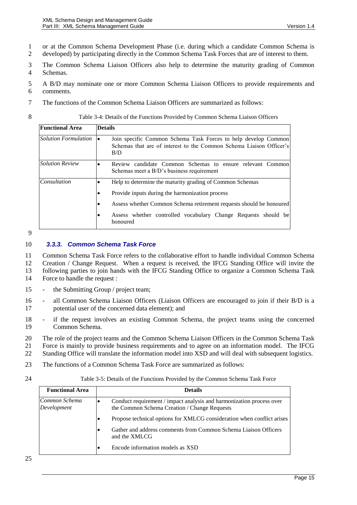- 1 or at the Common Schema Development Phase (i.e. during which a candidate Common Schema is
- 2 developed) by participating directly in the Common Schema Task Forces that are of interest to them.
- 3 The Common Schema Liaison Officers also help to determine the maturity grading of Common 4 Schemas.
- 5 A B/D may nominate one or more Common Schema Liaison Officers to provide requirements and 6 comments.
- 7 The functions of the Common Schema Liaison Officers are summarized as follows:

#### 8 Table 3-4: Details of the Functions Provided by Common Schema Liaison Officers

| <b>Functional Area</b> | <b>Details</b>                                                                                                                               |
|------------------------|----------------------------------------------------------------------------------------------------------------------------------------------|
| Solution Formulation   | Join specific Common Schema Task Forces to help develop Common<br>Schemas that are of interest to the Common Schema Liaison Officer's<br>B/D |
| <b>Solution Review</b> | Review candidate Common Schemas to ensure relevant Common<br>٠<br>Schemas meet a B/D's business requirement                                  |
| Consultation           | Help to determine the maturity grading of Common Schemas<br>$\bullet$                                                                        |
|                        | Provide inputs during the harmonization process<br>٠                                                                                         |
|                        | Assess whether Common Schema retirement requests should be honoured<br>٠                                                                     |
|                        | Assess whether controlled vocabulary Change Requests should be<br>honoured                                                                   |

9

#### <span id="page-14-0"></span>10 *3.3.3. Common Schema Task Force*

 Common Schema Task Force refers to the collaborative effort to handle individual Common Schema Creation / Change Request. When a request is received, the IFCG Standing Office will invite the following parties to join hands with the IFCG Standing Office to organize a Common Schema Task Force to handle the request :

- 15 the Submitting Group / project team;
- 16 all Common Schema Liaison Officers (Liaison Officers are encouraged to join if their B/D is a 17 potential user of the concerned data element); and
- 18 if the request involves an existing Common Schema, the project teams using the concerned 19 Common Schema.
- 20 The role of the project teams and the Common Schema Liaison Officers in the Common Schema Task

21 Force is mainly to provide business requirements and to agree on an information model. The IFCG

- 22 Standing Office will translate the information model into XSD and will deal with subsequent logistics.
- 23 The functions of a Common Schema Task Force are summarized as follows:
- 

24 Table 3-5: Details of the Functions Provided by the Common Schema Task Force

| <b>Functional Area</b>       | <b>Details</b>                                                                                                       |
|------------------------------|----------------------------------------------------------------------------------------------------------------------|
| Common Schema<br>Development | Conduct requirement / impact analysis and harmonization process over<br>the Common Schema Creation / Change Requests |
|                              | Propose technical options for XMLCG consideration when conflict arises                                               |
|                              | Gather and address comments from Common Schema Liaison Officers<br>$\bullet$<br>and the XMLCG                        |
|                              | Encode information models as XSD                                                                                     |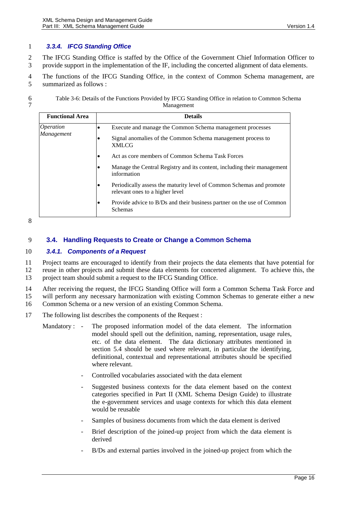#### <span id="page-15-0"></span>1 *3.3.4. IFCG Standing Office*

2 The IFCG Standing Office is staffed by the Office of the Government Chief Information Officer to 3 provide support in the implementation of the IF, including the concerted alignment of data elements.

4 The functions of the IFCG Standing Office, in the context of Common Schema management, are 5 summarized as follows :

6 Table 3-6: Details of the Functions Provided by IFCG Standing Office in relation to Common Schema **Management** 

| <b>Functional Area</b>                | <b>Details</b>                                                                                                                |
|---------------------------------------|-------------------------------------------------------------------------------------------------------------------------------|
| <i><b>Operation</b></i><br>Management | Execute and manage the Common Schema management processes<br>٠<br>Signal anomalies of the Common Schema management process to |
|                                       | <b>XMLCG</b><br>Act as core members of Common Schema Task Forces                                                              |
|                                       | Ð<br>Manage the Central Registry and its content, including their management                                                  |
|                                       | information                                                                                                                   |
|                                       | Periodically assess the maturity level of Common Schemas and promote<br>$\bullet$<br>relevant ones to a higher level          |
|                                       | Provide advice to B/Ds and their business partner on the use of Common<br>Ð<br>Schemas                                        |

8

#### <span id="page-15-1"></span>9 **3.4. Handling Requests to Create or Change a Common Schema**

#### <span id="page-15-2"></span>10 *3.4.1. Components of a Request*

11 Project teams are encouraged to identify from their projects the data elements that have potential for 12 reuse in other projects and submit these data elements for concerted alignment. To achieve this, the 13 project team should submit a request to the IFCG Standing Office.

14 After receiving the request, the IFCG Standing Office will form a Common Schema Task Force and

15 will perform any necessary harmonization with existing Common Schemas to generate either a new

16 Common Schema or a new version of an existing Common Schema.

- Mandatory : The proposed information model of the data element. The information model should spell out the definition, naming, representation, usage rules, etc. of the data element. The data dictionary attributes mentioned in section [5.4](#page-31-4) should be used where relevant, in particular the identifying, definitional, contextual and representational attributes should be specified where relevant.
	- Controlled vocabularies associated with the data element
	- Suggested business contexts for the data element based on the context categories specified in Part II (XML Schema Design Guide) to illustrate the e-government services and usage contexts for which this data element would be reusable
	- Samples of business documents from which the data element is derived
	- Brief description of the joined-up project from which the data element is derived
	- B/Ds and external parties involved in the joined-up project from which the

<sup>17</sup> The following list describes the components of the Request :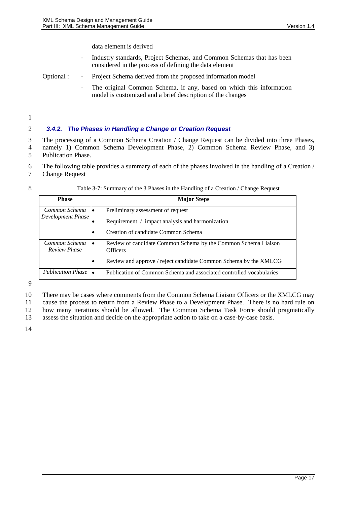#### data element is derived

- Industry standards, Project Schemas, and Common Schemas that has been considered in the process of defining the data element
- Optional : Project Schema derived from the proposed information model
	- The original Common Schema, if any, based on which this information model is customized and a brief description of the changes

1

#### <span id="page-16-0"></span>2 *3.4.2. The Phases in Handling a Change or Creation Request*

3 The processing of a Common Schema Creation / Change Request can be divided into three Phases, 4 namely 1) Common Schema Development Phase, 2) Common Schema Review Phase, and 3) 5 Publication Phase.

- 6 The following table provides a summary of each of the phases involved in the handling of a Creation /
- 7 Change Request

| ۰,<br>I      |
|--------------|
| I            |
| ٥<br>i       |
| I<br>۰.<br>v |

#### Table 3-7: Summary of the 3 Phases in the Handling of a Creation / Change Request

| <b>Phase</b>                         | <b>Major Steps</b>                                                                |
|--------------------------------------|-----------------------------------------------------------------------------------|
| Common Schema $\vert \bullet \vert$  | Preliminary assessment of request                                                 |
| Development Phase                    | Requirement / impact analysis and harmonization                                   |
|                                      | Creation of candidate Common Schema                                               |
| Common Schema<br><b>Review Phase</b> | Review of candidate Common Schema by the Common Schema Liaison<br><b>Officers</b> |
|                                      | Review and approve / reject candidate Common Schema by the XMLCG<br>٠             |
| <b>Publication Phase</b>             | Publication of Common Schema and associated controlled vocabularies               |

9

10 There may be cases where comments from the Common Schema Liaison Officers or the XMLCG may

11 cause the process to return from a Review Phase to a Development Phase. There is no hard rule on

12 how many iterations should be allowed. The Common Schema Task Force should pragmatically

13 assess the situation and decide on the appropriate action to take on a case-by-case basis.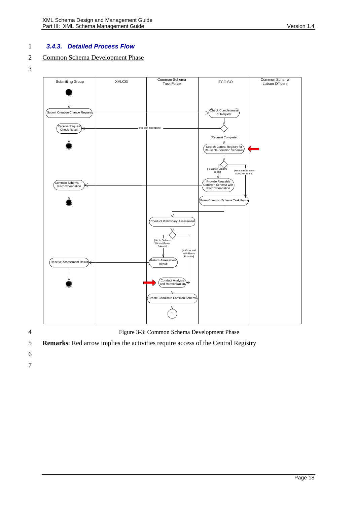#### <span id="page-17-0"></span>1 *3.4.3. Detailed Process Flow*

### 2 Common Schema Development Phase

3



4 Figure 3-3: Common Schema Development Phase

- 5 **Remarks**: Red arrow implies the activities require access of the Central Registry
- 6
- 7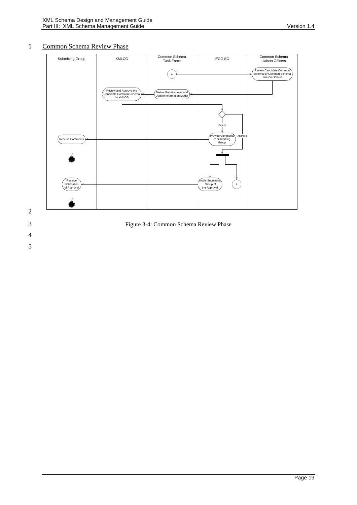#### 1 Common Schema Review Phase





3 Figure 3-4: Common Schema Review Phase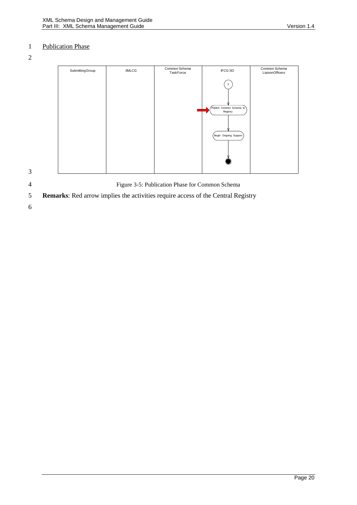### 1 Publication Phase

2

| Submitting Group | <b>XMLCG</b> | Common Schema<br>TaskForce | IFCG SO                              | Common Schema<br>LiaisonOfficers |
|------------------|--------------|----------------------------|--------------------------------------|----------------------------------|
|                  |              |                            | $\overline{2}$                       |                                  |
|                  |              |                            |                                      |                                  |
|                  |              |                            | Publish Common Schema to<br>Registry |                                  |
|                  |              |                            |                                      |                                  |
|                  |              |                            | Begin Ongoing Support)               |                                  |
|                  |              |                            |                                      |                                  |
|                  |              |                            |                                      |                                  |
|                  |              |                            |                                      |                                  |

3

4 Figure 3-5: Publication Phase for Common Schema

5 **Remarks**: Red arrow implies the activities require access of the Central Registry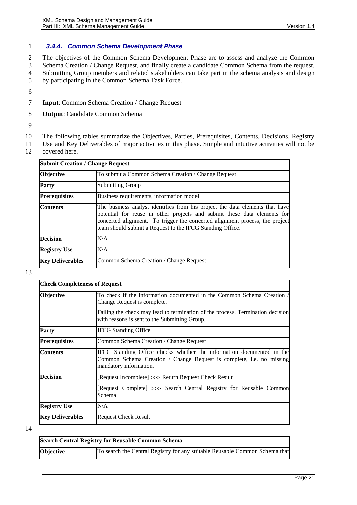#### <span id="page-20-0"></span>1 *3.4.4. Common Schema Development Phase*

 The objectives of the Common Schema Development Phase are to assess and analyze the Common Schema Creation / Change Request, and finally create a candidate Common Schema from the request. Submitting Group members and related stakeholders can take part in the schema analysis and design by participating in the Common Schema Task Force.

- 6
- 7 **Input**: Common Schema Creation / Change Request
- 8 **Output**: Candidate Common Schema
- 9
- 10 The following tables summarize the Objectives, Parties, Prerequisites, Contents, Decisions, Registry
- 11 Use and Key Deliverables of major activities in this phase. Simple and intuitive activities will not be
- 12 covered here.

| <b>Submit Creation / Change Request</b> |                                                                                                                                                                                                                                                                                                       |  |
|-----------------------------------------|-------------------------------------------------------------------------------------------------------------------------------------------------------------------------------------------------------------------------------------------------------------------------------------------------------|--|
| Objective                               | To submit a Common Schema Creation / Change Request                                                                                                                                                                                                                                                   |  |
| <b>Party</b>                            | <b>Submitting Group</b>                                                                                                                                                                                                                                                                               |  |
| <b>Prerequisites</b>                    | Business requirements, information model                                                                                                                                                                                                                                                              |  |
| <b>Contents</b>                         | The business analyst identifies from his project the data elements that have<br>potential for reuse in other projects and submit these data elements for<br>concerted alignment. To trigger the concerted alignment process, the project<br>team should submit a Request to the IFCG Standing Office. |  |
| <b>Decision</b>                         | N/A                                                                                                                                                                                                                                                                                                   |  |
| <b>Registry Use</b>                     | N/A                                                                                                                                                                                                                                                                                                   |  |
| <b>Key Deliverables</b>                 | Common Schema Creation / Change Request                                                                                                                                                                                                                                                               |  |

13

|                         | <b>Check Completeness of Request</b>                                                                                                                                    |  |  |
|-------------------------|-------------------------------------------------------------------------------------------------------------------------------------------------------------------------|--|--|
| <b>Objective</b>        | To check if the information documented in the Common Schema Creation /<br>Change Request is complete.                                                                   |  |  |
|                         | Failing the check may lead to termination of the process. Termination decision<br>with reasons is sent to the Submitting Group.                                         |  |  |
| Party                   | <b>IFCG</b> Standing Office                                                                                                                                             |  |  |
| <b>Prerequisites</b>    | Common Schema Creation / Change Request                                                                                                                                 |  |  |
| <b>Contents</b>         | IFCG Standing Office checks whether the information documented in the<br>Common Schema Creation / Change Request is complete, i.e. no missing<br>mandatory information. |  |  |
| <b>Decision</b>         | [Request Incomplete] >>> Return Request Check Result                                                                                                                    |  |  |
|                         | [Request Complete] >>> Search Central Registry for Reusable Common<br>Schema                                                                                            |  |  |
| <b>Registry Use</b>     | N/A                                                                                                                                                                     |  |  |
| <b>Key Deliverables</b> | <b>Request Check Result</b>                                                                                                                                             |  |  |

| <b>Search Central Registry for Reusable Common Schema</b> |                                                                             |  |
|-----------------------------------------------------------|-----------------------------------------------------------------------------|--|
| <b>Objective</b>                                          | To search the Central Registry for any suitable Reusable Common Schema that |  |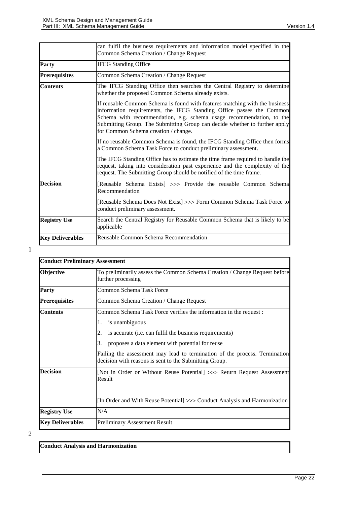|                         | can fulfil the business requirements and information model specified in the<br>Common Schema Creation / Change Request                                                                                                                                                                                                                            |
|-------------------------|---------------------------------------------------------------------------------------------------------------------------------------------------------------------------------------------------------------------------------------------------------------------------------------------------------------------------------------------------|
| Party                   | <b>IFCG Standing Office</b>                                                                                                                                                                                                                                                                                                                       |
| <b>Prerequisites</b>    | Common Schema Creation / Change Request                                                                                                                                                                                                                                                                                                           |
| <b>Contents</b>         | The IFCG Standing Office then searches the Central Registry to determine<br>whether the proposed Common Schema already exists.                                                                                                                                                                                                                    |
|                         | If reusable Common Schema is found with features matching with the business<br>information requirements, the IFCG Standing Office passes the Common<br>Schema with recommendation, e.g. schema usage recommendation, to the<br>Submitting Group. The Submitting Group can decide whether to further apply<br>for Common Schema creation / change. |
|                         | If no reusable Common Schema is found, the IFCG Standing Office then forms<br>a Common Schema Task Force to conduct preliminary assessment.                                                                                                                                                                                                       |
|                         | The IFCG Standing Office has to estimate the time frame required to handle the<br>request, taking into consideration past experience and the complexity of the<br>request. The Submitting Group should be notified of the time frame.                                                                                                             |
| <b>Decision</b>         | [Reusable Schema Exists] >>> Provide the reusable Common Schema<br>Recommendation                                                                                                                                                                                                                                                                 |
|                         | [Reusable Schema Does Not Exist] >>> Form Common Schema Task Force to<br>conduct preliminary assessment.                                                                                                                                                                                                                                          |
| <b>Registry Use</b>     | Search the Central Registry for Reusable Common Schema that is likely to be<br>applicable                                                                                                                                                                                                                                                         |
| <b>Key Deliverables</b> | Reusable Common Schema Recommendation                                                                                                                                                                                                                                                                                                             |

| <b>Conduct Preliminary Assessment</b> |                                                                                                                                      |
|---------------------------------------|--------------------------------------------------------------------------------------------------------------------------------------|
| Objective                             | To preliminarily assess the Common Schema Creation / Change Request before<br>further processing                                     |
| Party                                 | Common Schema Task Force                                                                                                             |
| <b>Prerequisites</b>                  | Common Schema Creation / Change Request                                                                                              |
| <b>Contents</b>                       | Common Schema Task Force verifies the information in the request:                                                                    |
|                                       | is unambiguous<br>1.                                                                                                                 |
|                                       | is accurate (i.e. can fulfil the business requirements)<br>2.                                                                        |
|                                       | 3.<br>proposes a data element with potential for reuse                                                                               |
|                                       | Failing the assessment may lead to termination of the process. Termination<br>decision with reasons is sent to the Submitting Group. |
| <b>Decision</b>                       | [Not in Order or Without Reuse Potential] >>> Return Request Assessment<br>Result                                                    |
|                                       | [In Order and With Reuse Potential] >>> Conduct Analysis and Harmonization                                                           |
| <b>Registry Use</b>                   | N/A                                                                                                                                  |
| <b>Key Deliverables</b>               | <b>Preliminary Assessment Result</b>                                                                                                 |

2

**Conduct Analysis and Harmonization**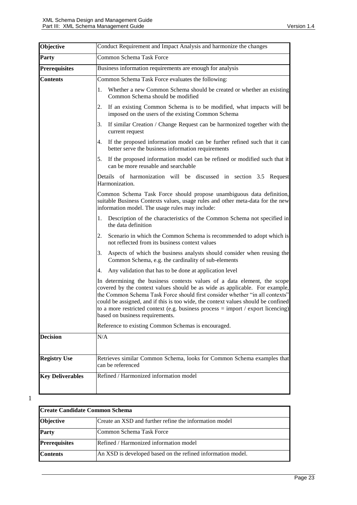| Objective               | Conduct Requirement and Impact Analysis and harmonize the changes                                                                                                                                                                                                                                                                                                                                                                                     |  |
|-------------------------|-------------------------------------------------------------------------------------------------------------------------------------------------------------------------------------------------------------------------------------------------------------------------------------------------------------------------------------------------------------------------------------------------------------------------------------------------------|--|
| <b>Party</b>            | Common Schema Task Force                                                                                                                                                                                                                                                                                                                                                                                                                              |  |
| <b>Prerequisites</b>    | Business information requirements are enough for analysis                                                                                                                                                                                                                                                                                                                                                                                             |  |
| <b>Contents</b>         | Common Schema Task Force evaluates the following:                                                                                                                                                                                                                                                                                                                                                                                                     |  |
|                         | Whether a new Common Schema should be created or whether an existing<br>1.<br>Common Schema should be modified                                                                                                                                                                                                                                                                                                                                        |  |
|                         | If an existing Common Schema is to be modified, what impacts will be<br>2.<br>imposed on the users of the existing Common Schema                                                                                                                                                                                                                                                                                                                      |  |
|                         | If similar Creation / Change Request can be harmonized together with the<br>3.<br>current request                                                                                                                                                                                                                                                                                                                                                     |  |
|                         | If the proposed information model can be further refined such that it can<br>4.<br>better serve the business information requirements                                                                                                                                                                                                                                                                                                                 |  |
|                         | If the proposed information model can be refined or modified such that it<br>5.<br>can be more reusable and searchable                                                                                                                                                                                                                                                                                                                                |  |
|                         | Details of harmonization will be discussed in section 3.5 Request<br>Harmonization.                                                                                                                                                                                                                                                                                                                                                                   |  |
|                         | Common Schema Task Force should propose unambiguous data definition,<br>suitable Business Contexts values, usage rules and other meta-data for the new<br>information model. The usage rules may include:                                                                                                                                                                                                                                             |  |
|                         | Description of the characteristics of the Common Schema not specified in<br>1.<br>the data definition                                                                                                                                                                                                                                                                                                                                                 |  |
|                         | Scenario in which the Common Schema is recommended to adopt which is<br>2.<br>not reflected from its business context values                                                                                                                                                                                                                                                                                                                          |  |
|                         | Aspects of which the business analysts should consider when reusing the<br>3.<br>Common Schema, e.g. the cardinality of sub-elements                                                                                                                                                                                                                                                                                                                  |  |
|                         | 4.<br>Any validation that has to be done at application level                                                                                                                                                                                                                                                                                                                                                                                         |  |
|                         | In determining the business contexts values of a data element, the scope<br>covered by the context values should be as wide as applicable. For example,<br>the Common Schema Task Force should first consider whether "in all contexts"<br>could be assigned, and if this is too wide, the context values should be confined<br>to a more restricted context (e.g. business process $=$ import / export licencing)<br>based on business requirements. |  |
|                         | Reference to existing Common Schemas is encouraged.                                                                                                                                                                                                                                                                                                                                                                                                   |  |
| <b>Decision</b>         | N/A                                                                                                                                                                                                                                                                                                                                                                                                                                                   |  |
| <b>Registry Use</b>     | Retrieves similar Common Schema, looks for Common Schema examples that<br>can be referenced                                                                                                                                                                                                                                                                                                                                                           |  |
| <b>Key Deliverables</b> | Refined / Harmonized information model                                                                                                                                                                                                                                                                                                                                                                                                                |  |

 $\overline{\phantom{a}}$ 

| lCreate Candidate Common Schema |                                                             |
|---------------------------------|-------------------------------------------------------------|
| Objective                       | Create an XSD and further refine the information model      |
| Party                           | Common Schema Task Force                                    |
| <b>Prerequisites</b>            | Refined / Harmonized information model                      |
| <b>Contents</b>                 | An XSD is developed based on the refined information model. |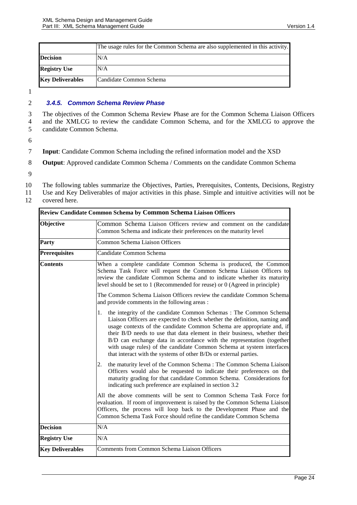|                         | The usage rules for the Common Schema are also supplemented in this activity. |
|-------------------------|-------------------------------------------------------------------------------|
| <b>Decision</b>         | N/A                                                                           |
| <b>Registry Use</b>     | N/A                                                                           |
| <b>Key Deliverables</b> | Candidate Common Schema                                                       |

#### <span id="page-23-0"></span>2 *3.4.5. Common Schema Review Phase*

3 The objectives of the Common Schema Review Phase are for the Common Schema Liaison Officers 4 and the XMLCG to review the candidate Common Schema, and for the XMLCG to approve the candidate Common Schema. 5 candidate Common Schema.

- 7 **Input**: Candidate Common Schema including the refined information model and the XSD
- 8 **Output**: Approved candidate Common Schema / Comments on the candidate Common Schema
- 9
- 10 The following tables summarize the Objectives, Parties, Prerequisites, Contents, Decisions, Registry
- 11 Use and Key Deliverables of major activities in this phase. Simple and intuitive activities will not be
- 12 covered here.

| Review Candidate Common Schema by Common Schema Liaison Officers |                                                                                                                                                                                                                                                                                                                                                                                                                                                                                                                                  |  |
|------------------------------------------------------------------|----------------------------------------------------------------------------------------------------------------------------------------------------------------------------------------------------------------------------------------------------------------------------------------------------------------------------------------------------------------------------------------------------------------------------------------------------------------------------------------------------------------------------------|--|
| Objective                                                        | Common Schema Liaison Officers review and comment on the candidate<br>Common Schema and indicate their preferences on the maturity level                                                                                                                                                                                                                                                                                                                                                                                         |  |
| Party                                                            | <b>Common Schema Liaison Officers</b>                                                                                                                                                                                                                                                                                                                                                                                                                                                                                            |  |
| <b>Prerequisites</b>                                             | Candidate Common Schema                                                                                                                                                                                                                                                                                                                                                                                                                                                                                                          |  |
| <b>Contents</b>                                                  | When a complete candidate Common Schema is produced, the Common<br>Schema Task Force will request the Common Schema Liaison Officers to<br>review the candidate Common Schema and to indicate whether its maturity<br>level should be set to 1 (Recommended for reuse) or 0 (Agreed in principle)                                                                                                                                                                                                                                |  |
|                                                                  | The Common Schema Liaison Officers review the candidate Common Schema<br>and provide comments in the following areas :                                                                                                                                                                                                                                                                                                                                                                                                           |  |
|                                                                  | the integrity of the candidate Common Schemas: The Common Schema<br>1.<br>Liaison Officers are expected to check whether the definition, naming and<br>usage contexts of the candidate Common Schema are appropriate and, if<br>their B/D needs to use that data element in their business, whether their<br>B/D can exchange data in accordance with the representation (together<br>with usage rules) of the candidate Common Schema at system interfaces<br>that interact with the systems of other B/Ds or external parties. |  |
|                                                                  | the maturity level of the Common Schema: The Common Schema Liaison<br>2.<br>Officers would also be requested to indicate their preferences on the<br>maturity grading for that candidate Common Schema. Considerations for<br>indicating such preference are explained in section 3.2                                                                                                                                                                                                                                            |  |
|                                                                  | All the above comments will be sent to Common Schema Task Force for<br>evaluation. If room of improvement is raised by the Common Schema Liaison<br>Officers, the process will loop back to the Development Phase and the<br>Common Schema Task Force should refine the candidate Common Schema                                                                                                                                                                                                                                  |  |
| <b>Decision</b>                                                  | $\rm N/A$                                                                                                                                                                                                                                                                                                                                                                                                                                                                                                                        |  |
| <b>Registry Use</b>                                              | N/A                                                                                                                                                                                                                                                                                                                                                                                                                                                                                                                              |  |
| <b>Key Deliverables</b>                                          | <b>Comments from Common Schema Liaison Officers</b>                                                                                                                                                                                                                                                                                                                                                                                                                                                                              |  |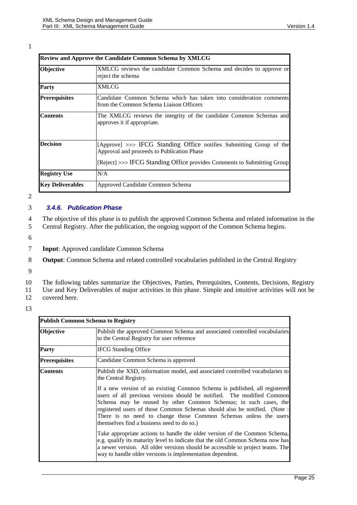| Review and Approve the Candidate Common Schema by XMLCG |                                                                                                                   |  |
|---------------------------------------------------------|-------------------------------------------------------------------------------------------------------------------|--|
| Objective                                               | XMLCG reviews the candidate Common Schema and decides to approve or<br>reject the schema                          |  |
| Party                                                   | XMLCG                                                                                                             |  |
| <b>Prerequisites</b>                                    | Candidate Common Schema which has taken into consideration comments<br>from the Common Schema Liaison Officers    |  |
| <b>Contents</b>                                         | The XMLCG reviews the integrity of the candidate Common Schemas and<br>approves it if appropriate.                |  |
| <b>Decision</b>                                         | [Approve] >>> IFCG Standing Office notifies Submitting Group of the<br>Approval and proceeds to Publication Phase |  |
|                                                         | [Reject] >>> IFCG Standing Office provides Comments to Submitting Group]                                          |  |
| <b>Registry Use</b>                                     | N/A                                                                                                               |  |
| <b>Key Deliverables</b>                                 | Approved Candidate Common Schema                                                                                  |  |

2

#### <span id="page-24-0"></span>3 *3.4.6. Publication Phase*

4 The objective of this phase is to publish the approved Common Schema and related information in the 5 Central Registry. After the publication, the ongoing support of the Common Schema begins.

- 6
- 7 **Input**: Approved candidate Common Schema
- 8 **Output**: Common Schema and related controlled vocabularies published in the Central Registry
- 9

10 The following tables summarize the Objectives, Parties, Prerequisites, Contents, Decisions, Registry

11 Use and Key Deliverables of major activities in this phase. Simple and intuitive activities will not be 12 covered here.

|                      | <b>Publish Common Schema to Registry</b>                                                                                                                                                                                                                                                                                                                                                                                                                                                                                          |  |  |
|----------------------|-----------------------------------------------------------------------------------------------------------------------------------------------------------------------------------------------------------------------------------------------------------------------------------------------------------------------------------------------------------------------------------------------------------------------------------------------------------------------------------------------------------------------------------|--|--|
| Objective            | Publish the approved Common Schema and associated controlled vocabularies<br>to the Central Registry for user reference                                                                                                                                                                                                                                                                                                                                                                                                           |  |  |
| Party                | <b>IFCG</b> Standing Office                                                                                                                                                                                                                                                                                                                                                                                                                                                                                                       |  |  |
| <b>Prerequisites</b> | Candidate Common Schema is approved                                                                                                                                                                                                                                                                                                                                                                                                                                                                                               |  |  |
| Contents             | Publish the XSD, information model, and associated controlled vocabularies to<br>the Central Registry.<br>If a new version of an existing Common Schema is published, all registered<br>users of all previous versions should be notified. The modified Common<br>Schema may be reused by other Common Schemas; in such cases, the<br>registered users of those Common Schemas should also be notified. (Note :<br>There is no need to change those Common Schemas unless the users<br>themselves find a business need to do so.) |  |  |
|                      | Take appropriate actions to handle the older version of the Common Schema,<br>e.g. qualify its maturity level to indicate that the old Common Schema now has<br>a newer version. All older versions should be accessible to project teams. The<br>way to handle older versions is implementation dependent.                                                                                                                                                                                                                       |  |  |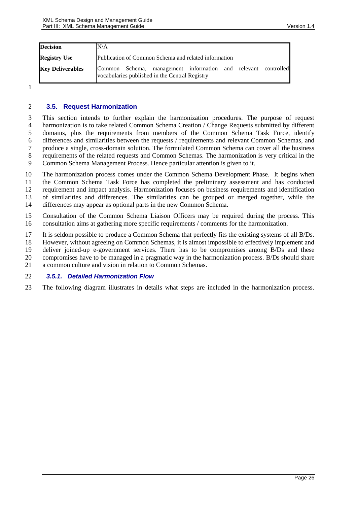| <b>Decision</b>         | N/A                                                                                                             |  |
|-------------------------|-----------------------------------------------------------------------------------------------------------------|--|
| <b>Registry Use</b>     | Publication of Common Schema and related information                                                            |  |
| <b>Key Deliverables</b> | Common Schema, management information and relevant controlled<br>vocabularies published in the Central Registry |  |

#### <span id="page-25-1"></span><span id="page-25-0"></span>**3.5. Request Harmonization**

 This section intends to further explain the harmonization procedures. The purpose of request harmonization is to take related Common Schema Creation / Change Requests submitted by different domains, plus the requirements from members of the Common Schema Task Force, identify 6 differences and similarities between the requests / requirements and relevant Common Schemas, and produce a single, cross-domain solution. The formulated Common Schema can cover all the business produce a single, cross-domain solution. The formulated Common Schema can cover all the business requirements of the related requests and Common Schemas. The harmonization is very critical in the Common Schema Management Process. Hence particular attention is given to it.

 The harmonization process comes under the Common Schema Development Phase. It begins when the Common Schema Task Force has completed the preliminary assessment and has conducted requirement and impact analysis. Harmonization focuses on business requirements and identification of similarities and differences. The similarities can be grouped or merged together, while the differences may appear as optional parts in the new Common Schema.

 Consultation of the Common Schema Liaison Officers may be required during the process. This consultation aims at gathering more specific requirements / comments for the harmonization.

It is seldom possible to produce a Common Schema that perfectly fits the existing systems of all B/Ds.

However, without agreeing on Common Schemas, it is almost impossible to effectively implement and

deliver joined-up e-government services. There has to be compromises among B/Ds and these

compromises have to be managed in a pragmatic way in the harmonization process. B/Ds should share

a common culture and vision in relation to Common Schemas.

#### <span id="page-25-2"></span>*3.5.1. Detailed Harmonization Flow*

The following diagram illustrates in details what steps are included in the harmonization process.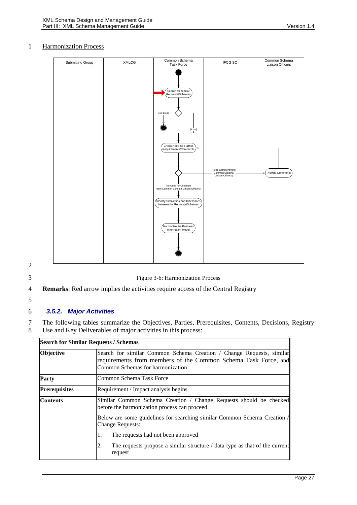#### 1 Harmonization Process



- 2
- 

3 Figure 3-6: Harmonization Process

- 4 **Remarks**: Red arrow implies the activities require access of the Central Registry
- 5

#### <span id="page-26-0"></span>6 *3.5.2. Major Activities*

7 The following tables summarize the Objectives, Parties, Prerequisites, Contents, Decisions, Registry 8 Use and Key Deliverables of major activities in this process:

|                      | <b>Search for Similar Requests / Schemas</b>                                                                                                                               |  |
|----------------------|----------------------------------------------------------------------------------------------------------------------------------------------------------------------------|--|
| Objective            | Search for similar Common Schema Creation / Change Requests, similar<br>requirements from members of the Common Schema Task Force, and<br>Common Schemas for harmonization |  |
| Party                | Common Schema Task Force                                                                                                                                                   |  |
| <b>Prerequisites</b> | Requirement / Impact analysis begins                                                                                                                                       |  |
| <b>Contents</b>      | Similar Common Schema Creation / Change Requests should be checked<br>before the harmonization process can proceed.                                                        |  |
|                      | Below are some guidelines for searching similar Common Schema Creation /<br><b>Change Requests:</b>                                                                        |  |
|                      | The requests had not been approved<br>1.                                                                                                                                   |  |
|                      | The requests propose a similar structure / data type as that of the current<br>2.<br>request                                                                               |  |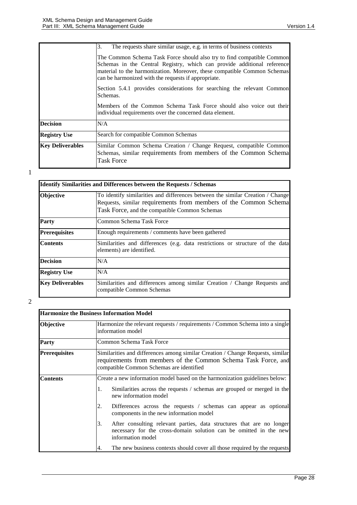|                         | 3.<br>The requests share similar usage, e.g. in terms of business contexts                                                                                                                                                                                                           |  |  |  |
|-------------------------|--------------------------------------------------------------------------------------------------------------------------------------------------------------------------------------------------------------------------------------------------------------------------------------|--|--|--|
|                         | The Common Schema Task Force should also try to find compatible Common<br>Schemas in the Central Registry, which can provide additional reference<br>material to the harmonization. Moreover, these compatible Common Schemas<br>can be harmonized with the requests if appropriate. |  |  |  |
|                         | Section 5.4.1 provides considerations for searching the relevant Common<br>Schemas.                                                                                                                                                                                                  |  |  |  |
|                         | Members of the Common Schema Task Force should also voice out their<br>individual requirements over the concerned data element.                                                                                                                                                      |  |  |  |
| <b>Decision</b>         | N/A                                                                                                                                                                                                                                                                                  |  |  |  |
| <b>Registry Use</b>     | Search for compatible Common Schemas                                                                                                                                                                                                                                                 |  |  |  |
| <b>Key Deliverables</b> | Similar Common Schema Creation / Change Request, compatible Common<br>Schemas, similar requirements from members of the Common Schema<br><b>Task Force</b>                                                                                                                           |  |  |  |

| <b>Identify Similarities and Differences between the Requests / Schemas</b> |                                                                                                                                                                                                     |  |
|-----------------------------------------------------------------------------|-----------------------------------------------------------------------------------------------------------------------------------------------------------------------------------------------------|--|
| <b>Objective</b>                                                            | To identify similarities and differences between the similar Creation / Change<br>Requests, similar requirements from members of the Common Schema<br>Task Force, and the compatible Common Schemas |  |
| <b>Party</b>                                                                | Common Schema Task Force                                                                                                                                                                            |  |
| <b>Prerequisites</b>                                                        | Enough requirements / comments have been gathered                                                                                                                                                   |  |
| <b>Contents</b>                                                             | Similarities and differences (e.g. data restrictions or structure of the data<br>elements) are identified.                                                                                          |  |
| <b>Decision</b>                                                             | N/A                                                                                                                                                                                                 |  |
| <b>Registry Use</b>                                                         | N/A                                                                                                                                                                                                 |  |
| <b>Key Deliverables</b>                                                     | Similarities and differences among similar Creation / Change Requests and<br>compatible Common Schemas                                                                                              |  |

|                      | <b>Harmonize the Business Information Model</b>                                                                                                                                              |  |
|----------------------|----------------------------------------------------------------------------------------------------------------------------------------------------------------------------------------------|--|
| Objective            | Harmonize the relevant requests / requirements / Common Schema into a single<br>information model                                                                                            |  |
| <b>Party</b>         | Common Schema Task Force                                                                                                                                                                     |  |
| <b>Prerequisites</b> | Similarities and differences among similar Creation / Change Requests, similar<br>requirements from members of the Common Schema Task Force, and<br>compatible Common Schemas are identified |  |
| <b>Contents</b>      | Create a new information model based on the harmonization guidelines below:                                                                                                                  |  |
|                      | Similarities across the requests / schemas are grouped or merged in the<br>1.<br>new information model                                                                                       |  |
|                      | Differences across the requests / schemas can appear as optional<br>2.<br>components in the new information model                                                                            |  |
|                      | After consulting relevant parties, data structures that are no longer<br>3.<br>necessary for the cross-domain solution can be omitted in the new<br>information model                        |  |
|                      | The new business contexts should cover all those required by the requests<br>4.                                                                                                              |  |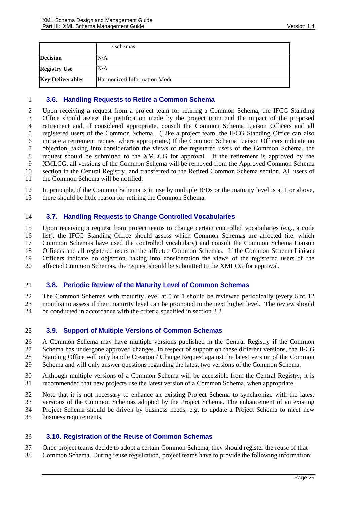|                         | schemas                     |
|-------------------------|-----------------------------|
| <b>Decision</b>         | N/A                         |
| <b>Registry Use</b>     | N/A                         |
| <b>Key Deliverables</b> | Harmonized Information Mode |

#### <span id="page-28-0"></span>**3.6. Handling Requests to Retire a Common Schema**

 Upon receiving a request from a project team for retiring a Common Schema, the IFCG Standing Office should assess the justification made by the project team and the impact of the proposed retirement and, if considered appropriate, consult the Common Schema Liaison Officers and all registered users of the Common Schema. (Like a project team, the IFCG Standing Office can also initiate a retirement request where appropriate.) If the Common Schema Liaison Officers indicate no objection, taking into consideration the views of the registered users of the Common Schema, the request should be submitted to the XMLCG for approval. If the retirement is approved by the XMLCG, all versions of the Common Schema will be removed from the Approved Common Schema section in the Central Registry, and transferred to the Retired Common Schema section. All users of the Common Schema will be notified.

 In principle, if the Common Schema is in use by multiple B/Ds or the maturity level is at 1 or above, there should be little reason for retiring the Common Schema.

#### <span id="page-28-2"></span>**3.7. Handling Requests to Change Controlled Vocabularies**

 Upon receiving a request from project teams to change certain controlled vocabularies (e.g., a code list), the IFCG Standing Office should assess which Common Schemas are affected (i.e. which Common Schemas have used the controlled vocabulary) and consult the Common Schema Liaison Officers and all registered users of the affected Common Schemas. If the Common Schema Liaison Officers indicate no objection, taking into consideration the views of the registered users of the affected Common Schemas, the request should be submitted to the XMLCG for approval.

#### <span id="page-28-3"></span>**3.8. Periodic Review of the Maturity Level of Common Schemas**

 The Common Schemas with maturity level at 0 or 1 should be reviewed periodically (every 6 to 12 months) to assess if their maturity level can be promoted to the next higher level. The review should be conducted in accordance with the criteria specified in section [3.2](#page-10-0)

#### <span id="page-28-1"></span>**3.9. Support of Multiple Versions of Common Schemas**

 A Common Schema may have multiple versions published in the Central Registry if the Common Schema has undergone approved changes. In respect of support on these different versions, the IFCG Standing Office will only handle Creation / Change Request against the latest version of the Common Schema and will only answer questions regarding the latest two versions of the Common Schema.

- Although multiple versions of a Common Schema will be accessible from the Central Registry, it is
- recommended that new projects use the latest version of a Common Schema, when appropriate.
- Note that it is not necessary to enhance an existing Project Schema to synchronize with the latest
- versions of the Common Schemas adopted by the Project Schema. The enhancement of an existing
- Project Schema should be driven by business needs, e.g. to update a Project Schema to meet new
- business requirements.

#### <span id="page-28-4"></span>**3.10. Registration of the Reuse of Common Schemas**

- Once project teams decide to adopt a certain Common Schema, they should register the reuse of that
- Common Schema. During reuse registration, project teams have to provide the following information: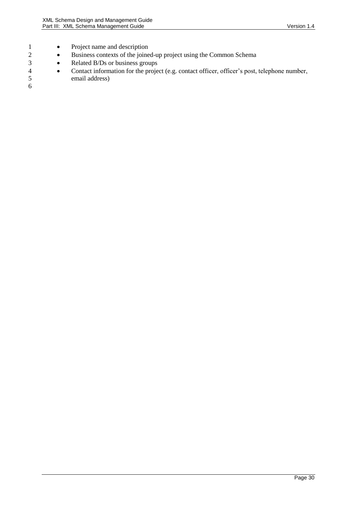- 1 Project name and description
- 2 **Business contexts of the joined-up project using the Common Schema**
- 3 **•** Related B/Ds or business groups
- 4 Contact information for the project (e.g. contact officer, officer's post, telephone number, email address)
- $\begin{array}{c} 5 \\ 6 \end{array}$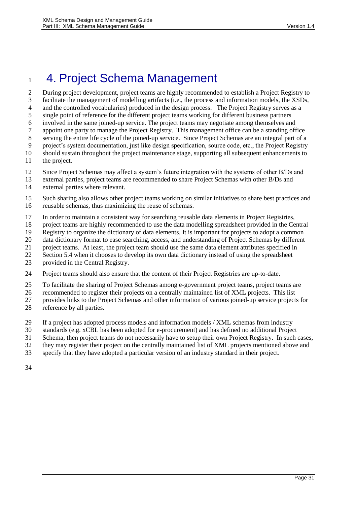## <span id="page-30-0"></span>4. Project Schema Management

 During project development, project teams are highly recommended to establish a Project Registry to facilitate the management of modelling artifacts (i.e., the process and information models, the XSDs, 4 and the controlled vocabularies) produced in the design process. The Project Registry serves as a single point of reference for the different project teams working for different business partners involved in the same joined-up service. The project teams may negotiate among themselves and appoint one party to manage the Project Registry. This management office can be a standing office serving the entire life cycle of the joined-up service. Since Project Schemas are an integral part of a project's system documentation, just like design specification, source code, etc., the Project Registry should sustain throughout the project maintenance stage, supporting all subsequent enhancements to the project.

- Since Project Schemas may affect a system's future integration with the systems of other B/Ds and
- external parties, project teams are recommended to share Project Schemas with other B/Ds and external parties where relevant.
- Such sharing also allows other project teams working on similar initiatives to share best practices and reusable schemas, thus maximizing the reuse of schemas.
- In order to maintain a consistent way for searching reusable data elements in Project Registries,
- project teams are highly recommended to use the data modelling spreadsheet provided in the Central
- Registry to organize the dictionary of data elements. It is important for projects to adopt a common
- data dictionary format to ease searching, access, and understanding of Project Schemas by different
- project teams. At least, the project team should use the same data element attributes specified in
- Sectio[n 5.4](#page-31-4) when it chooses to develop its own data dictionary instead of using the spreadsheet
- provided in the Central Registry.
- Project teams should also ensure that the content of their Project Registries are up-to-date.
- To facilitate the sharing of Project Schemas among e-government project teams, project teams are
- recommended to register their projects on a centrally maintained list of XML projects. This list
- provides links to the Project Schemas and other information of various joined-up service projects for
- reference by all parties.
- If a project has adopted process models and information models / XML schemas from industry
- standards (e.g. xCBL has been adopted for e-procurement) and has defined no additional Project
- Schema, then project teams do not necessarily have to setup their own Project Registry. In such cases,
- they may register their project on the centrally maintained list of XML projects mentioned above and
- specify that they have adopted a particular version of an industry standard in their project.
-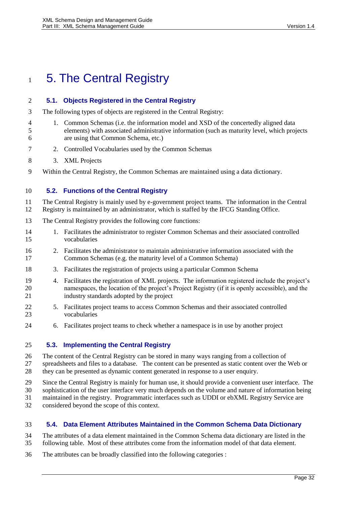## <span id="page-31-0"></span>1 5. The Central Registry

<span id="page-31-1"></span>**5.1. Objects Registered in the Central Registry**

### The following types of objects are registered in the Central Registry: 1. Common Schemas (i.e. the information model and XSD of the concertedly aligned data elements) with associated administrative information (such as maturity level, which projects are using that Common Schema, etc.) 2. Controlled Vocabularies used by the Common Schemas 3. XML Projects Within the Central Registry, the Common Schemas are maintained using a data dictionary. **5.2. Functions of the Central Registry** The Central Registry is mainly used by e-government project teams. The information in the Central Registry is maintained by an administrator, which is staffed by the IFCG Standing Office.

- <span id="page-31-2"></span>The Central Registry provides the following core functions:
- 1. Facilitates the administrator to register Common Schemas and their associated controlled vocabularies
- 2. Facilitates the administrator to maintain administrative information associated with the Common Schemas (e.g. the maturity level of a Common Schema)
- 3. Facilitates the registration of projects using a particular Common Schema
- 4. Facilitates the registration of XML projects. The information registered include the project's namespaces, the location of the project's Project Registry (if it is openly accessible), and the industry standards adopted by the project
- 5. Facilitates project teams to access Common Schemas and their associated controlled vocabularies
- 6. Facilitates project teams to check whether a namespace is in use by another project

### <span id="page-31-3"></span>**5.3. Implementing the Central Registry**

- The content of the Central Registry can be stored in many ways ranging from a collection of spreadsheets and files to a database. The content can be presented as static content over the Web or they can be presented as dynamic content generated in response to a user enquiry.
- 
- Since the Central Registry is mainly for human use, it should provide a convenient user interface. The
- sophistication of the user interface very much depends on the volume and nature of information being maintained in the registry. Programmatic interfaces such as UDDI or ebXML Registry Service are
- considered beyond the scope of this context.

### <span id="page-31-4"></span>**5.4. Data Element Attributes Maintained in the Common Schema Data Dictionary**

- The attributes of a data element maintained in the Common Schema data dictionary are listed in the following table. Most of these attributes come from the information model of that data element.
- The attributes can be broadly classified into the following categories :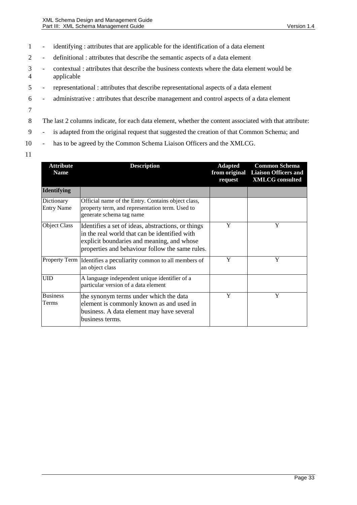- 1 identifying : attributes that are applicable for the identification of a data element
- 2 definitional : attributes that describe the semantic aspects of a data element
- 3 contextual : attributes that describe the business contexts where the data element would be 4 applicable
- 5 representational : attributes that describe representational aspects of a data element
- 6 administrative : attributes that describe management and control aspects of a data element
- 7
- 8 The last 2 columns indicate, for each data element, whether the content associated with that attribute:
- 9 is adapted from the original request that suggested the creation of that Common Schema; and
- 10 has to be agreed by the Common Schema Liaison Officers and the XMLCG.
- 11

| <b>Attribute</b><br><b>Name</b> | <b>Description</b>                                                                                                                                                                                   | <b>Adapted</b><br>from original<br>request | <b>Common Schema</b><br><b>Liaison Officers and</b><br><b>XMLCG</b> consulted |
|---------------------------------|------------------------------------------------------------------------------------------------------------------------------------------------------------------------------------------------------|--------------------------------------------|-------------------------------------------------------------------------------|
| <b>Identifying</b>              |                                                                                                                                                                                                      |                                            |                                                                               |
| Dictionary<br><b>Entry Name</b> | Official name of the Entry. Contains object class,<br>property term, and representation term. Used to<br>generate schema tag name                                                                    |                                            |                                                                               |
| Object Class                    | Identifies a set of ideas, abstractions, or things<br>in the real world that can be identified with<br>explicit boundaries and meaning, and whose<br>properties and behaviour follow the same rules. | Y                                          | Y                                                                             |
| Property Term                   | Identifies a peculiarity common to all members of<br>an object class                                                                                                                                 | Y                                          | Y                                                                             |
| <b>UID</b>                      | A language independent unique identifier of a<br>particular version of a data element                                                                                                                |                                            |                                                                               |
| <b>Business</b><br>Terms        | the synonym terms under which the data<br>element is commonly known as and used in<br>business. A data element may have several<br>business terms.                                                   | Y                                          | Y                                                                             |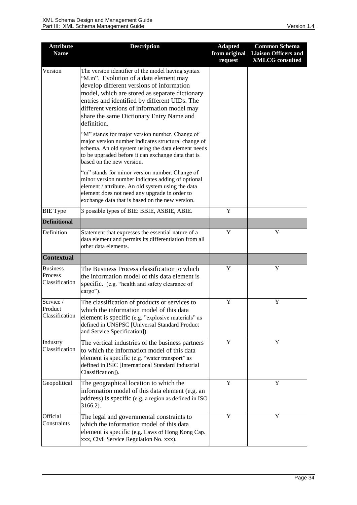| <b>Attribute</b><br><b>Name</b>              | <b>Description</b>                                                                                                                                                                                                                                                                                                                                    | <b>Adapted</b><br>from original<br>request | <b>Common Schema</b><br><b>Liaison Officers and</b><br><b>XMLCG</b> consulted |
|----------------------------------------------|-------------------------------------------------------------------------------------------------------------------------------------------------------------------------------------------------------------------------------------------------------------------------------------------------------------------------------------------------------|--------------------------------------------|-------------------------------------------------------------------------------|
| Version                                      | The version identifier of the model having syntax<br>"M.m". Evolution of a data element may<br>develop different versions of information<br>model, which are stored as separate dictionary<br>entries and identified by different UIDs. The<br>different versions of information model may<br>share the same Dictionary Entry Name and<br>definition. |                                            |                                                                               |
|                                              | "M" stands for major version number. Change of<br>major version number indicates structural change of<br>schema. An old system using the data element needs<br>to be upgraded before it can exchange data that is<br>based on the new version.                                                                                                        |                                            |                                                                               |
|                                              | "m" stands for minor version number. Change of<br>minor version number indicates adding of optional<br>element / attribute. An old system using the data<br>element does not need any upgrade in order to<br>exchange data that is based on the new version.                                                                                          |                                            |                                                                               |
| <b>BIE</b> Type                              | 3 possible types of BIE: BBIE, ASBIE, ABIE.                                                                                                                                                                                                                                                                                                           | Y                                          |                                                                               |
| <b>Definitional</b>                          |                                                                                                                                                                                                                                                                                                                                                       |                                            |                                                                               |
| Definition                                   | Statement that expresses the essential nature of a<br>data element and permits its differentiation from all<br>other data elements.                                                                                                                                                                                                                   | Y                                          | Y                                                                             |
| <b>Contextual</b>                            |                                                                                                                                                                                                                                                                                                                                                       |                                            |                                                                               |
| <b>Business</b><br>Process<br>Classification | The Business Process classification to which<br>the information model of this data element is<br>specific. (e.g. "health and safety clearance of<br>cargo").                                                                                                                                                                                          | Y                                          | Y                                                                             |
| Service /<br>Product<br>Classification       | The classification of products or services to<br>which the information model of this data<br>element is specific (e.g. "explosive materials" as<br>defined in UNSPSC [Universal Standard Product<br>and Service Specification]).                                                                                                                      | Y                                          | Y                                                                             |
| Industry<br>Classification                   | The vertical industries of the business partners<br>to which the information model of this data<br>element is specific (e.g. "water transport" as<br>defined in ISIC [International Standard Industrial<br>Classification]).                                                                                                                          | Y                                          | Y                                                                             |
| Geopolitical                                 | The geographical location to which the<br>information model of this data element (e.g. an<br>address) is specific (e.g. a region as defined in ISO<br>3166.2).                                                                                                                                                                                        | Y                                          | Y                                                                             |
| Official<br>Constraints                      | The legal and governmental constraints to<br>which the information model of this data<br>element is specific (e.g. Laws of Hong Kong Cap.<br>xxx, Civil Service Regulation No. xxx).                                                                                                                                                                  | Y                                          | Y                                                                             |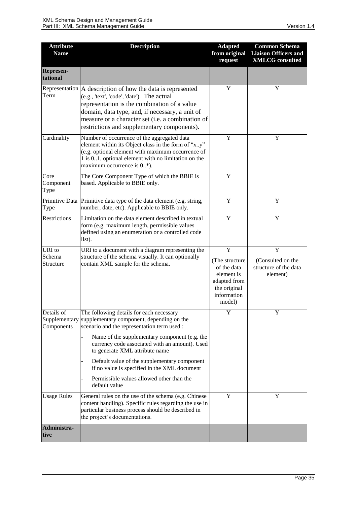| <b>Attribute</b><br><b>Name</b>           | <b>Description</b>                                                                                                                                                                                                                                                                                                                                                                                                                      | <b>Adapted</b><br>from original<br>request                                                                | <b>Common Schema</b><br><b>Liaison Officers and</b><br><b>XMLCG</b> consulted |
|-------------------------------------------|-----------------------------------------------------------------------------------------------------------------------------------------------------------------------------------------------------------------------------------------------------------------------------------------------------------------------------------------------------------------------------------------------------------------------------------------|-----------------------------------------------------------------------------------------------------------|-------------------------------------------------------------------------------|
| <b>Represen-</b><br>tational              |                                                                                                                                                                                                                                                                                                                                                                                                                                         |                                                                                                           |                                                                               |
| Term                                      | Representation   A description of how the data is represented<br>(e.g., 'text', 'code', 'date'). The actual<br>representation is the combination of a value<br>domain, data type, and, if necessary, a unit of<br>measure or a character set (i.e. a combination of<br>restrictions and supplementary components).                                                                                                                      | Y                                                                                                         | Y                                                                             |
| Cardinality                               | Number of occurrence of the aggregated data<br>element within its Object class in the form of "x.y"<br>(e.g. optional element with maximum occurrence of<br>1 is 01, optional element with no limitation on the<br>maximum occurrence is 0*).                                                                                                                                                                                           | Y                                                                                                         | Y                                                                             |
| Core<br>Component<br>Type                 | The Core Component Type of which the BBIE is<br>based. Applicable to BBIE only.                                                                                                                                                                                                                                                                                                                                                         | Y                                                                                                         |                                                                               |
| Type                                      | Primitive Data Primitive data type of the data element (e.g. string,<br>number, date, etc). Applicable to BBIE only.                                                                                                                                                                                                                                                                                                                    | Y                                                                                                         | Y                                                                             |
| Restrictions                              | Limitation on the data element described in textual<br>form (e.g. maximum length, permissible values<br>defined using an enumeration or a controlled code<br>list).                                                                                                                                                                                                                                                                     | Y                                                                                                         | Y                                                                             |
| URI to<br>Schema<br>Structure             | URI to a document with a diagram representing the<br>structure of the schema visually. It can optionally<br>contain XML sample for the schema.                                                                                                                                                                                                                                                                                          | Y<br>(The structure<br>of the data<br>element is<br>adapted from<br>the original<br>information<br>model) | Y<br>(Consulted on the<br>structure of the data<br>element)                   |
| Details of<br>Supplementary<br>Components | The following details for each necessary<br>supplementary component, depending on the<br>scenario and the representation term used :<br>Name of the supplementary component (e.g. the<br>currency code associated with an amount). Used<br>to generate XML attribute name<br>Default value of the supplementary component<br>if no value is specified in the XML document<br>Permissible values allowed other than the<br>default value | Y                                                                                                         | Y                                                                             |
| <b>Usage Rules</b>                        | General rules on the use of the schema (e.g. Chinese<br>content handling). Specific rules regarding the use in<br>particular business process should be described in<br>the project's documentations.                                                                                                                                                                                                                                   | Y                                                                                                         | Y                                                                             |
| Administra-<br>tive                       |                                                                                                                                                                                                                                                                                                                                                                                                                                         |                                                                                                           |                                                                               |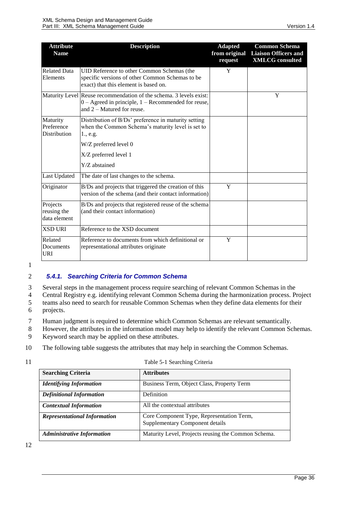| <b>Attribute</b><br><b>Name</b>         | <b>Description</b>                                                                                                                                            | <b>Adapted</b><br>from original<br>request | <b>Common Schema</b><br><b>Liaison Officers and</b><br><b>XMLCG</b> consulted |
|-----------------------------------------|---------------------------------------------------------------------------------------------------------------------------------------------------------------|--------------------------------------------|-------------------------------------------------------------------------------|
| <b>Related Data</b><br>Elements         | UID Reference to other Common Schemas (the<br>specific versions of other Common Schemas to be<br>exact) that this element is based on.                        | Y                                          |                                                                               |
|                                         | Maturity Level Reuse recommendation of the schema. 3 levels exist:<br>$0 -$ Agreed in principle, $1 -$ Recommended for reuse,<br>and $2 -$ Matured for reuse. |                                            | Y                                                                             |
| Maturity<br>Preference<br>Distribution  | Distribution of B/Ds' preference in maturity setting<br>when the Common Schema's maturity level is set to<br>1., e.g.<br>W/Z preferred level 0                |                                            |                                                                               |
|                                         | X/Z preferred level 1<br>Y/Z abstained                                                                                                                        |                                            |                                                                               |
| <b>Last Updated</b>                     | The date of last changes to the schema.                                                                                                                       |                                            |                                                                               |
| Originator                              | B/Ds and projects that triggered the creation of this<br>version of the schema (and their contact information)                                                | Y                                          |                                                                               |
| Projects<br>reusing the<br>data element | B/Ds and projects that registered reuse of the schema<br>(and their contact information)                                                                      |                                            |                                                                               |
| <b>XSD URI</b>                          | Reference to the XSD document                                                                                                                                 |                                            |                                                                               |
| Related<br>Documents<br><b>URI</b>      | Reference to documents from which definitional or<br>representational attributes originate                                                                    | Y                                          |                                                                               |

#### <span id="page-35-0"></span>2 *5.4.1. Searching Criteria for Common Schema*

3 Several steps in the management process require searching of relevant Common Schemas in the

4 Central Registry e.g. identifying relevant Common Schema during the harmonization process. Project

- 5 teams also need to search for reusable Common Schemas when they define data elements for their 6 projects.
- 7 Human judgment is required to determine which Common Schemas are relevant semantically.
- 8 However, the attributes in the information model may help to identify the relevant Common Schemas.
- 9 Keyword search may be applied on these attributes.
- 10 The following table suggests the attributes that may help in searching the Common Schemas.

| ٠ | ۰ |
|---|---|
|   |   |
|   |   |
|   |   |

| 11 | Table 5-1 Searching Criteria |
|----|------------------------------|
|    |                              |

| <b>Searching Criteria</b>           | <b>Attributes</b>                                   |
|-------------------------------------|-----------------------------------------------------|
| <b>Identifying Information</b>      | Business Term, Object Class, Property Term          |
| <b>Definitional Information</b>     | <b>Definition</b>                                   |
| <b>Contextual Information</b>       | All the contextual attributes                       |
| <b>Representational Information</b> | Core Component Type, Representation Term,           |
|                                     | Supplementary Component details                     |
| <b>Administrative Information</b>   | Maturity Level, Projects reusing the Common Schema. |